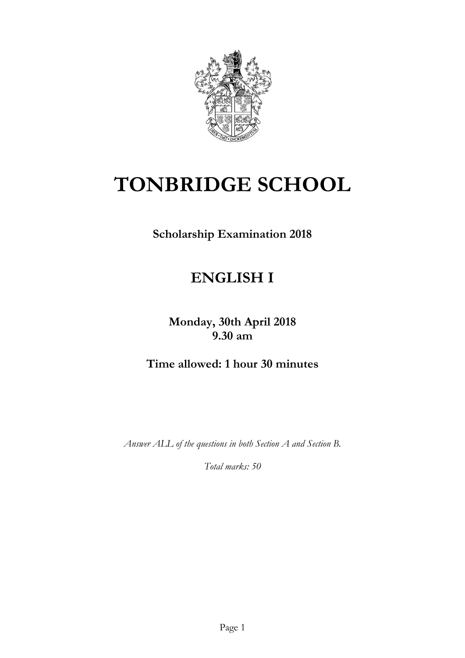

# **TONBRIDGE SCHOOL**

**Scholarship Examination 2018** 

# **ENGLISH I**

**Monday, 30th April 2018 9.30 am**

**Time allowed: 1 hour 30 minutes**

*Answer ALL of the questions in both Section A and Section B.*

*Total marks: 50*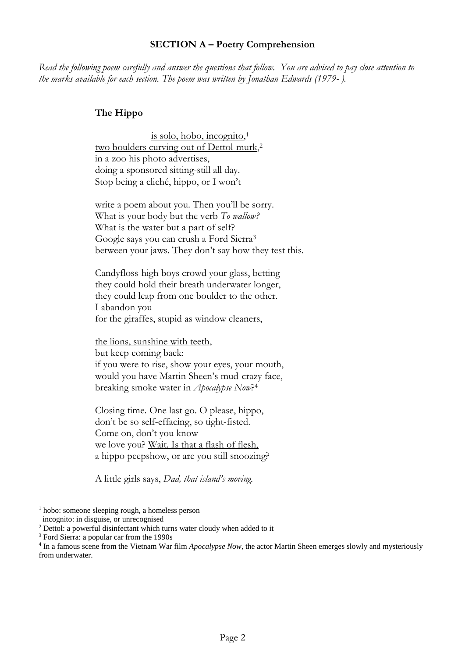#### **SECTION A – Poetry Comprehension**

*Read the following poem carefully and answer the questions that follow. You are advised to pay close attention to the marks available for each section. The poem was written by Jonathan Edwards (1979- ).*

#### **The Hippo**

is solo, hobo, incognito, 1 two boulders curving out of Dettol-murk, 2 in a zoo his photo advertises, doing a sponsored sitting-still all day. Stop being a cliché, hippo, or I won't

write a poem about you. Then you'll be sorry. What is your body but the verb *To wallow?* What is the water but a part of self? Google says you can crush a Ford Sierra<sup>3</sup> between your jaws. They don't say how they test this.

Candyfloss-high boys crowd your glass, betting they could hold their breath underwater longer, they could leap from one boulder to the other. I abandon you for the giraffes, stupid as window cleaners,

the lions, sunshine with teeth, but keep coming back: if you were to rise, show your eyes, your mouth, would you have Martin Sheen's mud-crazy face, breaking smoke water in *Apocalypse Now*? 4

Closing time. One last go. O please, hippo, don't be so self-effacing, so tight-fisted. Come on, don't you know we love you? Wait. Is that a flash of flesh, a hippo peepshow, or are you still snoozing?

A little girls says, *Dad, that island's moving.*

 $\overline{a}$ 

<sup>1</sup> hobo: someone sleeping rough, a homeless person

incognito: in disguise, or unrecognised

<sup>&</sup>lt;sup>2</sup> Dettol: a powerful disinfectant which turns water cloudy when added to it

<sup>3</sup> Ford Sierra: a popular car from the 1990s

<sup>4</sup> In a famous scene from the Vietnam War film *Apocalypse Now,* the actor Martin Sheen emerges slowly and mysteriously from underwater.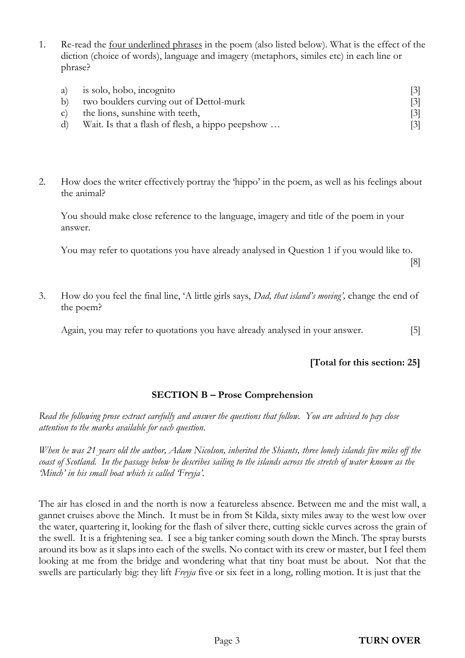1. Re-read the four underlined phrases in the poem (also listed below). What is the effect of the diction (choice of words), language and imagery (metaphors, similes etc) in each line or phrase?

|    | a) is solo, hobo, incognito                      | $\lceil 3 \rceil$ |
|----|--------------------------------------------------|-------------------|
|    | b) two boulders curving out of Dettol-murk       | $\lceil 3 \rceil$ |
|    | c) the lions, sunshine with teeth,               | $\lceil 3 \rceil$ |
| d) | Wait. Is that a flash of flesh, a hippo peepshow | $\lceil 3 \rceil$ |

2. How does the writer effectively portray the 'hippo' in the poem, as well as his feelings about the animal?

You should make close reference to the language, imagery and title of the poem in your answer.

You may refer to quotations you have already analysed in Question 1 if you would like to.

[8]

3. How do you feel the final line, 'A little girls says, *Dad, that island's moving',* change the end of the poem?

Again, you may refer to quotations you have already analysed in your answer. [5]

## **[Total for this section: 25]**

## **SECTION B – Prose Comprehension**

*Read the following prose extract carefully and answer the questions that follow. You are advised to pay close attention to the marks available for each question.*

*When he was 21 years old the author, Adam Nicolson, inherited the Shiants, three lonely islands five miles off the*  coast of Scotland. In the passage below he describes sailing to the islands across the stretch of water known as the *'Minch' in his small boat which is called 'Freyja'.*

The air has closed in and the north is now a featureless absence. Between me and the mist wall, a gannet cruises above the Minch. It must be in from St Kilda, sixty miles away to the west low over the water, quartering it, looking for the flash of silver there, cutting sickle curves across the grain of the swell. It is a frightening sea. I see a big tanker coming south down the Minch. The spray bursts around its bow as it slaps into each of the swells. No contact with its crew or master, but I feel them looking at me from the bridge and wondering what that tiny boat must be about. Not that the swells are particularly big: they lift *Freyja* five or six feet in a long, rolling motion. It is just that the